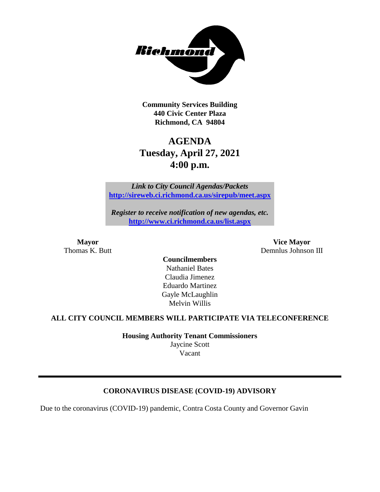

**Community Services Building 440 Civic Center Plaza Richmond, CA 94804**

# **AGENDA Tuesday, April 27, 2021 4:00 p.m.**

*Link to City Council Agendas/Packets* **<http://sireweb.ci.richmond.ca.us/sirepub/meet.aspx>**

*Register to receive notification of new agendas, etc.* **<http://www.ci.richmond.ca.us/list.aspx>**

**Mayor Vice Mayor** Thomas K. Butt **Demnlus Johnson III** 

> **Councilmembers** Nathaniel Bates Claudia Jimenez Eduardo Martinez Gayle McLaughlin Melvin Willis

# **ALL CITY COUNCIL MEMBERS WILL PARTICIPATE VIA TELECONFERENCE**

**Housing Authority Tenant Commissioners** Jaycine Scott Vacant

# **CORONAVIRUS DISEASE (COVID-19) ADVISORY**

Due to the coronavirus (COVID-19) pandemic, Contra Costa County and Governor Gavin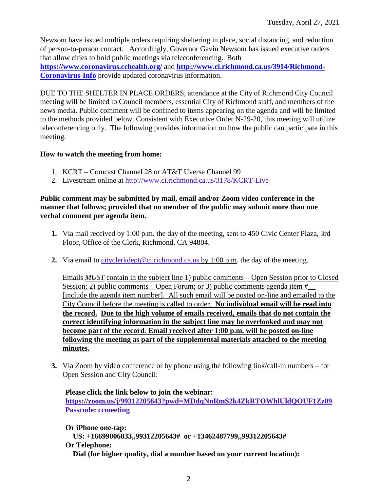Newsom have issued multiple orders requiring sheltering in place, social distancing, and reduction of person-to-person contact. Accordingly, Governor Gavin Newsom has issued executive orders that allow cities to hold public meetings via teleconferencing. Both **<https://www.coronavirus.cchealth.org/>** and **[http://www.ci.richmond.ca.us/3914/Richmond-](http://www.ci.richmond.ca.us/3914/Richmond-Coronavirus-Info)**

**[Coronavirus-Info](http://www.ci.richmond.ca.us/3914/Richmond-Coronavirus-Info)** provide updated coronavirus information.

DUE TO THE SHELTER IN PLACE ORDERS, attendance at the City of Richmond City Council meeting will be limited to Council members, essential City of Richmond staff, and members of the news media. Public comment will be confined to items appearing on the agenda and will be limited to the methods provided below. Consistent with Executive Order N-29-20, this meeting will utilize teleconferencing only. The following provides information on how the public can participate in this meeting.

# **How to watch the meeting from home:**

- 1. KCRT Comcast Channel 28 or AT&T Uverse Channel 99
- 2. Livestream online at<http://www.ci.richmond.ca.us/3178/KCRT-Live>

# **Public comment may be submitted by mail, email and/or Zoom video conference in the manner that follows; provided that no member of the public may submit more than one verbal comment per agenda item.**

- **1.** Via mail received by 1:00 p.m. the day of the meeting, sent to 450 Civic Center Plaza, 3rd Floor, Office of the Clerk, Richmond, CA 94804.
- **2.** Via email to [cityclerkdept@ci.richmond.ca.us](mailto:cityclerkdept@ci.richmond.ca.us) by 1:00 p.m. the day of the meeting.

Emails *MUST* contain in the subject line 1) public comments – Open Session prior to Closed Session; 2) public comments – Open Forum; or 3) public comments agenda item  $#$ [include the agenda item number]. All such email will be posted on-line and emailed to the City Council before the meeting is called to order. **No individual email will be read into the record. Due to the high volume of emails received, emails that do not contain the correct identifying information in the subject line may be overlooked and may not become part of the record. Email received after 1:00 p.m. will be posted on-line following the meeting as part of the supplemental materials attached to the meeting minutes.**

**3.** Via Zoom by video conference or by phone using the following link/call-in numbers – for Open Session and City Council:

**Please click the link below to join the webinar: <https://zoom.us/j/99312205643?pwd=MDdqNnRmS2k4ZkRTOWhlUldQOUF1Zz09> Passcode: ccmeeting**

**Or iPhone one-tap: US: +16699006833,,99312205643# or +13462487799,,99312205643# Or Telephone: Dial (for higher quality, dial a number based on your current location):**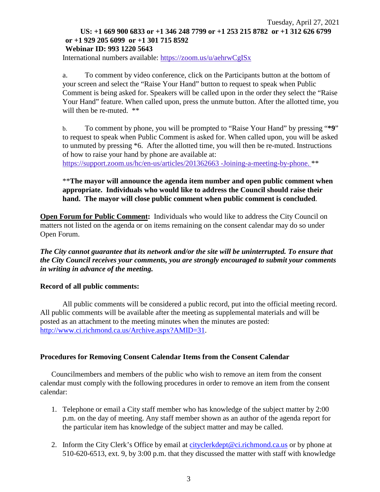### Tuesday, April 27, 2021 **US: +1 669 900 6833 or +1 346 248 7799 or +1 253 215 8782 or +1 312 626 6799 or +1 929 205 6099 or +1 301 715 8592 Webinar ID: 993 1220 5643**

International numbers available: <https://zoom.us/u/aehrwCgISx>

a. To comment by video conference, click on the Participants button at the bottom of your screen and select the "Raise Your Hand" button to request to speak when Public Comment is being asked for. Speakers will be called upon in the order they select the "Raise Your Hand" feature. When called upon, press the unmute button. After the allotted time, you will then be re-muted.  $**$ 

b. To comment by phone, you will be prompted to "Raise Your Hand" by pressing "**\*9**" to request to speak when Public Comment is asked for. When called upon, you will be asked to unmuted by pressing \*6. After the allotted time, you will then be re-muted. Instructions of how to raise your hand by phone are available at:

[https://support.zoom.us/hc/en-us/articles/201362663 -Joining-a-meeting-by-phone.](https://support.zoom.us/hc/en-us/articles/201362663) \*\*

# \*\***The mayor will announce the agenda item number and open public comment when appropriate. Individuals who would like to address the Council should raise their hand. The mayor will close public comment when public comment is concluded**.

**Open Forum for Public Comment:** Individuals who would like to address the City Council on matters not listed on the agenda or on items remaining on the consent calendar may do so under Open Forum.

*The City cannot guarantee that its network and/or the site will be uninterrupted. To ensure that the City Council receives your comments, you are strongly encouraged to submit your comments in writing in advance of the meeting.* 

### **Record of all public comments:**

All public comments will be considered a public record, put into the official meeting record. All public comments will be available after the meeting as supplemental materials and will be posted as an attachment to the meeting minutes when the minutes are posted: [http://www.ci.richmond.ca.us/Archive.aspx?AMID=31.](http://www.ci.richmond.ca.us/Archive.aspx?AMID=31)

# **Procedures for Removing Consent Calendar Items from the Consent Calendar**

Councilmembers and members of the public who wish to remove an item from the consent calendar must comply with the following procedures in order to remove an item from the consent calendar:

- 1. Telephone or email a City staff member who has knowledge of the subject matter by 2:00 p.m. on the day of meeting. Any staff member shown as an author of the agenda report for the particular item has knowledge of the subject matter and may be called.
- 2. Inform the City Clerk's Office by email at [cityclerkdept@ci.richmond.ca.us](mailto:cityclerkdept@ci.richmond.ca.us) or by phone at 510-620-6513, ext. 9, by 3:00 p.m. that they discussed the matter with staff with knowledge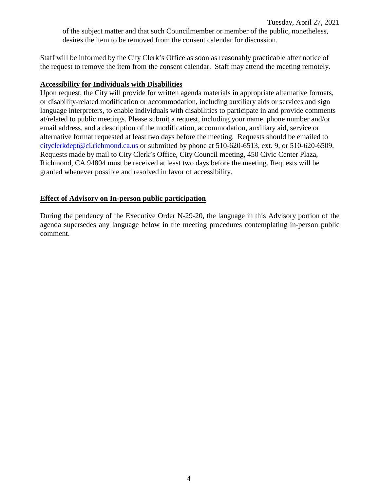Tuesday, April 27, 2021 of the subject matter and that such Councilmember or member of the public, nonetheless, desires the item to be removed from the consent calendar for discussion.

Staff will be informed by the City Clerk's Office as soon as reasonably practicable after notice of the request to remove the item from the consent calendar. Staff may attend the meeting remotely.

### **Accessibility for Individuals with Disabilities**

Upon request, the City will provide for written agenda materials in appropriate alternative formats, or disability-related modification or accommodation, including auxiliary aids or services and sign language interpreters, to enable individuals with disabilities to participate in and provide comments at/related to public meetings. Please submit a request, including your name, phone number and/or email address, and a description of the modification, accommodation, auxiliary aid, service or alternative format requested at least two days before the meeting. Requests should be emailed to [cityclerkdept@ci.richmond.ca.us](mailto:cityclerkdept@ci.richmond.ca.us) or submitted by phone at 510-620-6513, ext. 9, or 510-620-6509. Requests made by mail to City Clerk's Office, City Council meeting, 450 Civic Center Plaza, Richmond, CA 94804 must be received at least two days before the meeting. Requests will be granted whenever possible and resolved in favor of accessibility.

# **Effect of Advisory on In-person public participation**

During the pendency of the Executive Order N-29-20, the language in this Advisory portion of the agenda supersedes any language below in the meeting procedures contemplating in-person public comment.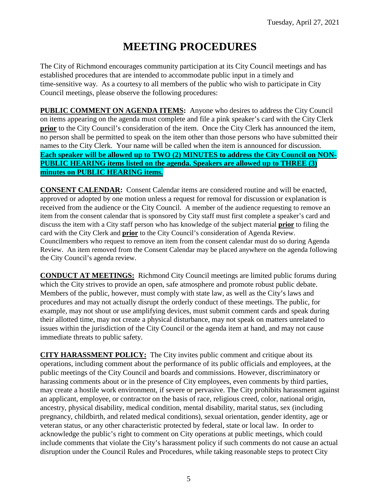# **MEETING PROCEDURES**

The City of Richmond encourages community participation at its City Council meetings and has established procedures that are intended to accommodate public input in a timely and time-sensitive way. As a courtesy to all members of the public who wish to participate in City Council meetings, please observe the following procedures:

**PUBLIC COMMENT ON AGENDA ITEMS:** Anyone who desires to address the City Council on items appearing on the agenda must complete and file a pink speaker's card with the City Clerk **prior** to the City Council's consideration of the item. Once the City Clerk has announced the item, no person shall be permitted to speak on the item other than those persons who have submitted their names to the City Clerk. Your name will be called when the item is announced for discussion. **Each speaker will be allowed up to TWO (2) MINUTES to address the City Council on NON-PUBLIC HEARING items listed on the agenda. Speakers are allowed up to THREE (3) minutes on PUBLIC HEARING items.**

**CONSENT CALENDAR:** Consent Calendar items are considered routine and will be enacted, approved or adopted by one motion unless a request for removal for discussion or explanation is received from the audience or the City Council. A member of the audience requesting to remove an item from the consent calendar that is sponsored by City staff must first complete a speaker's card and discuss the item with a City staff person who has knowledge of the subject material **prior** to filing the card with the City Clerk and **prior** to the City Council's consideration of Agenda Review. Councilmembers who request to remove an item from the consent calendar must do so during Agenda Review. An item removed from the Consent Calendar may be placed anywhere on the agenda following the City Council's agenda review.

**CONDUCT AT MEETINGS:** Richmond City Council meetings are limited public forums during which the City strives to provide an open, safe atmosphere and promote robust public debate. Members of the public, however, must comply with state law, as well as the City's laws and procedures and may not actually disrupt the orderly conduct of these meetings. The public, for example, may not shout or use amplifying devices, must submit comment cards and speak during their allotted time, may not create a physical disturbance, may not speak on matters unrelated to issues within the jurisdiction of the City Council or the agenda item at hand, and may not cause immediate threats to public safety.

**CITY HARASSMENT POLICY:** The City invites public comment and critique about its operations, including comment about the performance of its public officials and employees, at the public meetings of the City Council and boards and commissions. However, discriminatory or harassing comments about or in the presence of City employees, even comments by third parties, may create a hostile work environment, if severe or pervasive. The City prohibits harassment against an applicant, employee, or contractor on the basis of race, religious creed, color, national origin, ancestry, physical disability, medical condition, mental disability, marital status, sex (including pregnancy, childbirth, and related medical conditions), sexual orientation, gender identity, age or veteran status, or any other characteristic protected by federal, state or local law. In order to acknowledge the public's right to comment on City operations at public meetings, which could include comments that violate the City's harassment policy if such comments do not cause an actual disruption under the Council Rules and Procedures, while taking reasonable steps to protect City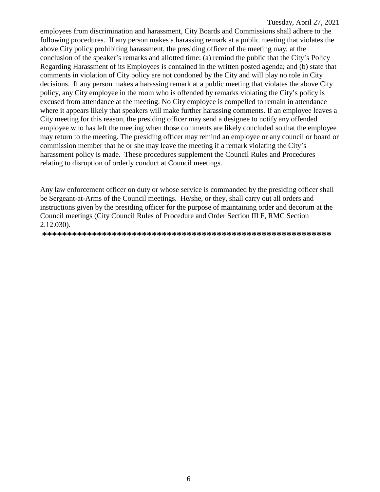employees from discrimination and harassment, City Boards and Commissions shall adhere to the following procedures. If any person makes a harassing remark at a public meeting that violates the above City policy prohibiting harassment, the presiding officer of the meeting may, at the conclusion of the speaker's remarks and allotted time: (a) remind the public that the City's Policy Regarding Harassment of its Employees is contained in the written posted agenda; and (b) state that comments in violation of City policy are not condoned by the City and will play no role in City decisions. If any person makes a harassing remark at a public meeting that violates the above City policy, any City employee in the room who is offended by remarks violating the City's policy is excused from attendance at the meeting. No City employee is compelled to remain in attendance where it appears likely that speakers will make further harassing comments. If an employee leaves a City meeting for this reason, the presiding officer may send a designee to notify any offended employee who has left the meeting when those comments are likely concluded so that the employee may return to the meeting. The presiding officer may remind an employee or any council or board or commission member that he or she may leave the meeting if a remark violating the City's harassment policy is made. These procedures supplement the Council Rules and Procedures relating to disruption of orderly conduct at Council meetings.

Any law enforcement officer on duty or whose service is commanded by the presiding officer shall be Sergeant-at-Arms of the Council meetings. He/she, or they, shall carry out all orders and instructions given by the presiding officer for the purpose of maintaining order and decorum at the Council meetings (City Council Rules of Procedure and Order Section III F, RMC Section  $2.12.030$ ).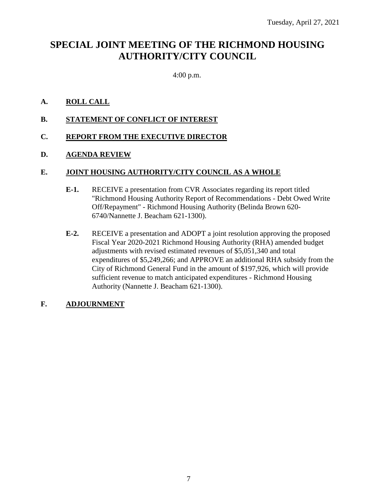# **SPECIAL JOINT MEETING OF THE RICHMOND HOUSING AUTHORITY/CITY COUNCIL**

4:00 p.m.

# **A. ROLL CALL**

**B. STATEMENT OF CONFLICT OF INTEREST**

# **C. REPORT FROM THE EXECUTIVE DIRECTOR**

# **D. AGENDA REVIEW**

# **E. JOINT HOUSING AUTHORITY/CITY COUNCIL AS A WHOLE**

- **E-1.** RECEIVE a presentation from CVR Associates regarding its report titled "Richmond Housing Authority Report of Recommendations - Debt Owed Write Off/Repayment" - Richmond Housing Authority (Belinda Brown 620- 6740/Nannette J. Beacham 621-1300).
- **E-2.** RECEIVE a presentation and ADOPT a joint resolution approving the proposed Fiscal Year 2020-2021 Richmond Housing Authority (RHA) amended budget adjustments with revised estimated revenues of \$5,051,340 and total expenditures of \$5,249,266; and APPROVE an additional RHA subsidy from the City of Richmond General Fund in the amount of \$197,926, which will provide sufficient revenue to match anticipated expenditures - Richmond Housing Authority (Nannette J. Beacham 621-1300).

# **F. ADJOURNMENT**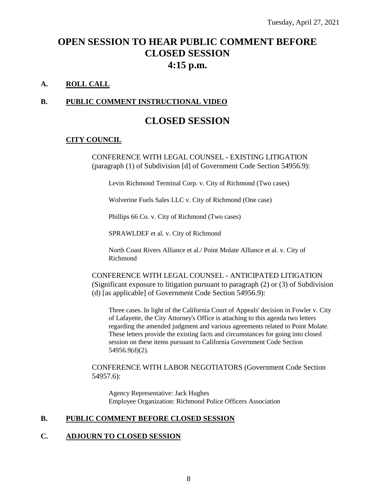# **OPEN SESSION TO HEAR PUBLIC COMMENT BEFORE CLOSED SESSION 4:15 p.m.**

# **A. ROLL CALL**

# **B. PUBLIC COMMENT INSTRUCTIONAL VIDEO**

# **CLOSED SESSION**

# **CITY COUNCIL**

CONFERENCE WITH LEGAL COUNSEL - EXISTING LITIGATION (paragraph (1) of Subdivision [d] of Government Code Section 54956.9):

Levin Richmond Terminal Corp. v. City of Richmond (Two cases)

Wolverine Fuels Sales LLC v. City of Richmond (One case)

Phillips 66 Co. v. City of Richmond (Two cases)

SPRAWLDEF et al. v. City of Richmond

North Coast Rivers Alliance et al./ Point Molate Alliance et al. v. City of Richmond

CONFERENCE WITH LEGAL COUNSEL - ANTICIPATED LITIGATION (Significant exposure to litigation pursuant to paragraph (2) or (3) of Subdivision (d) [as applicable] of Government Code Section 54956.9):

Three cases. In light of the California Court of Appeals' decision in Fowler v. City of Lafayette, the City Attorney's Office is attaching to this agenda two letters regarding the amended judgment and various agreements related to Point Molate. These letters provide the existing facts and circumstances for going into closed session on these items pursuant to California Government Code Section 54956.9(d)(2).

CONFERENCE WITH LABOR NEGOTIATORS (Government Code Section 54957.6):

Agency Representative: Jack Hughes Employee Organization: Richmond Police Officers Association

### **B. PUBLIC COMMENT BEFORE CLOSED SESSION**

### **C. ADJOURN TO CLOSED SESSION**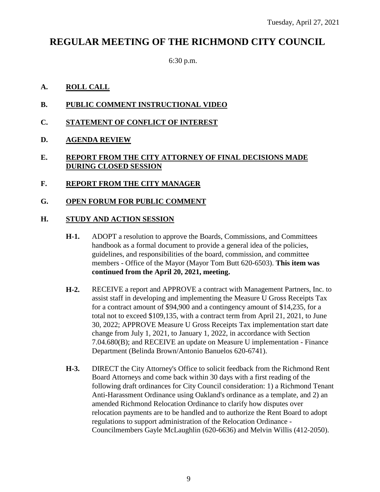# **REGULAR MEETING OF THE RICHMOND CITY COUNCIL**

6:30 p.m.

# **A. ROLL CALL**

- **B. PUBLIC COMMENT INSTRUCTIONAL VIDEO**
- **C. STATEMENT OF CONFLICT OF INTEREST**
- **D. AGENDA REVIEW**

# **E. REPORT FROM THE CITY ATTORNEY OF FINAL DECISIONS MADE DURING CLOSED SESSION**

**F. REPORT FROM THE CITY MANAGER**

# **G. OPEN FORUM FOR PUBLIC COMMENT**

# **H. STUDY AND ACTION SESSION**

- **H-1.** ADOPT a resolution to approve the Boards, Commissions, and Committees handbook as a formal document to provide a general idea of the policies, guidelines, and responsibilities of the board, commission, and committee members - Office of the Mayor (Mayor Tom Butt 620-6503). **This item was continued from the April 20, 2021, meeting.**
- **H-2.** RECEIVE a report and APPROVE a contract with Management Partners, Inc. to assist staff in developing and implementing the Measure U Gross Receipts Tax for a contract amount of \$94,900 and a contingency amount of \$14,235, for a total not to exceed \$109,135, with a contract term from April 21, 2021, to June 30, 2022; APPROVE Measure U Gross Receipts Tax implementation start date change from July 1, 2021, to January 1, 2022, in accordance with Section 7.04.680(B); and RECEIVE an update on Measure U implementation - Finance Department (Belinda Brown/Antonio Banuelos 620-6741).
- **H-3.** DIRECT the City Attorney's Office to solicit feedback from the Richmond Rent Board Attorneys and come back within 30 days with a first reading of the following draft ordinances for City Council consideration: 1) a Richmond Tenant Anti-Harassment Ordinance using Oakland's ordinance as a template, and 2) an amended Richmond Relocation Ordinance to clarify how disputes over relocation payments are to be handled and to authorize the Rent Board to adopt regulations to support administration of the Relocation Ordinance - Councilmembers Gayle McLaughlin (620-6636) and Melvin Willis (412-2050).